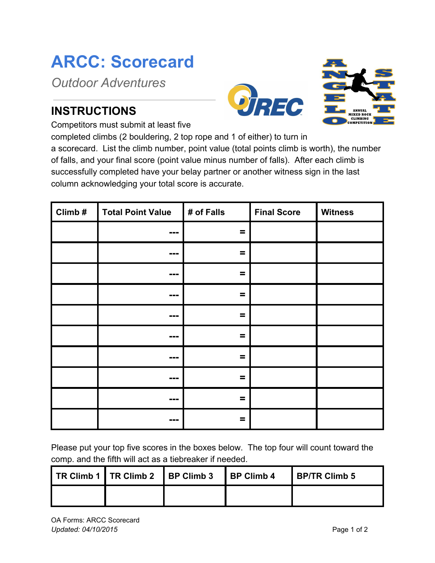## **ARCC: Scorecard**

*Outdoor Adventures*

## **INSTRUCTIONS**





Competitors must submit at least five

completed climbs (2 bouldering, 2 top rope and 1 of either) to turn in

a scorecard. List the climb number, point value (total points climb is worth), the number of falls, and your final score (point value minus number of falls). After each climb is successfully completed have your belay partner or another witness sign in the last column acknowledging your total score is accurate.

| $Climb$ # | <b>Total Point Value</b>     | # of Falls | <b>Final Score</b> | <b>Witness</b> |
|-----------|------------------------------|------------|--------------------|----------------|
|           | ---                          | $\equiv$   |                    |                |
|           | ---                          | $\equiv$   |                    |                |
|           | ---                          | $\equiv$   |                    |                |
|           | $\qquad \qquad \blacksquare$ | $\equiv$   |                    |                |
|           | ---                          | Ξ          |                    |                |
|           | ---                          | $\equiv$   |                    |                |
|           | ---                          | $=$        |                    |                |
|           | ---                          | $\equiv$   |                    |                |
|           | ---                          | $\equiv$   |                    |                |
|           | $\qquad \qquad \blacksquare$ | =          |                    |                |

Please put your top five scores in the boxes below. The top four will count toward the comp. and the fifth will act as a tiebreaker if needed.

|  | TR Climb 1   TR Climb 2   BP Climb 3   BP Climb 4 | <b>I BP/TR Climb 5</b> |
|--|---------------------------------------------------|------------------------|
|  |                                                   |                        |